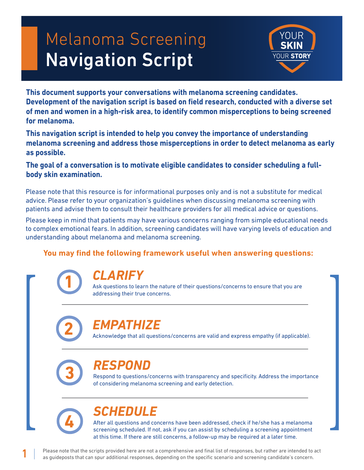# Melanoma Screening Navigation Script



**This document supports your conversations with melanoma screening candidates. Development of the navigation script is based on field research, conducted with a diverse set of men and women in a high-risk area, to identify common misperceptions to being screened for melanoma.**

**This navigation script is intended to help you convey the importance of understanding melanoma screening and address those misperceptions in order to detect melanoma as early as possible.**

**The goal of a conversation is to motivate eligible candidates to consider scheduling a fullbody skin examination.**

Please note that this resource is for informational purposes only and is not a substitute for medical advice. Please refer to your organization's guidelines when discussing melanoma screening with patients and advise them to consult their healthcare providers for all medical advice or questions.

Please keep in mind that patients may have various concerns ranging from simple educational needs to complex emotional fears. In addition, screening candidates will have varying levels of education and understanding about melanoma and melanoma screening.

#### **You may find the following framework useful when answering questions:**



## *CLARIFY*

Ask questions to learn the nature of their questions/concerns to ensure that you are addressing their true concerns.



# *EMPATHIZE*

Acknowledge that all questions/concerns are valid and express empathy (if applicable).



# *RESPOND*

Respond to questions/concerns with transparency and specificity. Address the importance of considering melanoma screening and early detection.



1

# *SCHEDULE*

After all questions and concerns have been addressed, check if he/she has a melanoma screening scheduled. If not, ask if you can assist by scheduling a screening appointment at this time. If there are still concerns, a follow-up may be required at a later time.

Please note that the scripts provided here are not a comprehensive and final list of responses, but rather are intended to act as guideposts that can spur additional responses, depending on the specific scenario and screening candidate's concern.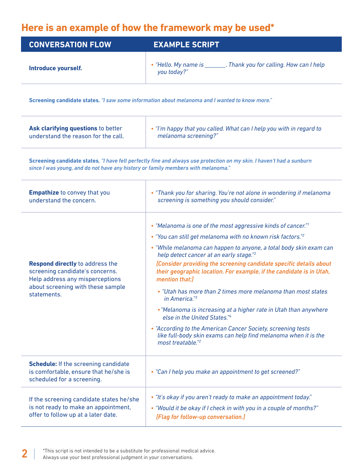## **Here is an example of how the framework may be used\***

| <b>CONVERSATION FLOW</b>                                                                                                                                         | <b>EXAMPLE SCRIPT</b>                                                                                                                                                                                                                                                                                                                                                                                                                                                                                                                                                                                                                                                                                                                                                                                     |
|------------------------------------------------------------------------------------------------------------------------------------------------------------------|-----------------------------------------------------------------------------------------------------------------------------------------------------------------------------------------------------------------------------------------------------------------------------------------------------------------------------------------------------------------------------------------------------------------------------------------------------------------------------------------------------------------------------------------------------------------------------------------------------------------------------------------------------------------------------------------------------------------------------------------------------------------------------------------------------------|
| Introduce yourself.                                                                                                                                              | • "Hello. My name is ________. Thank you for calling. How can I help<br>you today?"                                                                                                                                                                                                                                                                                                                                                                                                                                                                                                                                                                                                                                                                                                                       |
|                                                                                                                                                                  | Screening candidate states, "I saw some information about melanoma and I wanted to know more."                                                                                                                                                                                                                                                                                                                                                                                                                                                                                                                                                                                                                                                                                                            |
| Ask clarifying questions to better<br>understand the reason for the call.                                                                                        | . "I'm happy that you called. What can I help you with in regard to<br>melanoma screening?"                                                                                                                                                                                                                                                                                                                                                                                                                                                                                                                                                                                                                                                                                                               |
| since I was young, and do not have any history or family members with melanoma."                                                                                 | Screening candidate states, "I have felt perfectly fine and always use protection on my skin. I haven't had a sunburn                                                                                                                                                                                                                                                                                                                                                                                                                                                                                                                                                                                                                                                                                     |
| <b>Empathize</b> to convey that you<br>understand the concern.                                                                                                   | • "Thank you for sharing. You're not alone in wondering if melanoma<br>screening is something you should consider."                                                                                                                                                                                                                                                                                                                                                                                                                                                                                                                                                                                                                                                                                       |
| <b>Respond directly to address the</b><br>screening candidate's concerns.<br>Help address any misperceptions<br>about screening with these sample<br>statements. | • "Melanoma is one of the most aggressive kinds of cancer." <sup>1</sup><br>• "You can still get melanoma with no known risk factors." <sup>2</sup><br>• "While melanoma can happen to anyone, a total body skin exam can<br>help detect cancer at an early stage." <sup>2</sup><br>[Consider providing the screening candidate specific details about<br>their geographic location. For example, if the candidate is in Utah,<br>mention that:1<br>• "Utah has more than 2 times more melanoma than most states<br>in America."3<br>• "Melanoma is increasing at a higher rate in Utah than anywhere<br>else in the United States."4<br>• "According to the American Cancer Society, screening tests<br>like full-body skin exams can help find melanoma when it is the<br>most treatable." <sup>2</sup> |
| <b>Schedule:</b> If the screening candidate<br>is comfortable, ensure that he/she is<br>scheduled for a screening.                                               | • "Can I help you make an appointment to get screened?"                                                                                                                                                                                                                                                                                                                                                                                                                                                                                                                                                                                                                                                                                                                                                   |
| If the screening candidate states he/she<br>is not ready to make an appointment,<br>offer to follow up at a later date.                                          | • "It's okay if you aren't ready to make an appointment today."<br>• "Would it be okay if I check in with you in a couple of months?"<br>[Flag for follow-up conversation.]                                                                                                                                                                                                                                                                                                                                                                                                                                                                                                                                                                                                                               |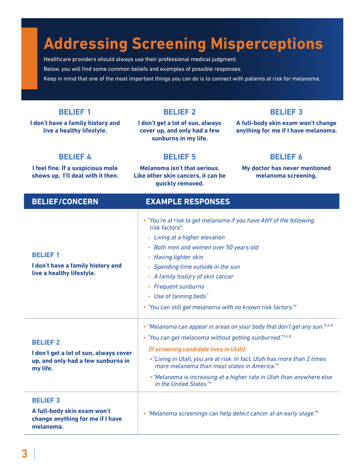# **Addressing Screening Misperceptions**

Healthcare providers should always use their professional medical judgment. Below, you will find some common beliefs and examples of possible responses. Keep in mind that one of the most important things you can do is to connect with patients at risk for melanoma.

#### **BELIEF/CONCERN EXAMPLE RESPONSES BELIEF 1 I don't have a family history and live a healthy lifestyle.** *• "You're at risk to get melanoma if you have ANY of the following risk factors5 :*  − *Living at a higher elevation* − *Both men and women over 50 years old* − *Having lighter skin* − *Spending time outside in the sun* − *A family history of skin cancer* − *Frequent sunburns* − *Use of tanning beds" • "You can still get melanoma with no known risk factors."2 • "Melanoma can appear in areas on your body that don't get any sun."2,6-8* **BELIEF 1 I don't have a family history and live a healthy lifestyle. BELIEF 2 I don't get a lot of sun, always cover up, and only had a few sunburns in my life. BELIEF 3 A full-body skin exam won't change anything for me if I have melanoma. BELIEF 4 I feel fine. If a suspicious mole shows up, I'll deal with it then. BELIEF 5 Melanoma isn't that serious. Like other skin cancers, it can be quickly removed. BELIEF 6 My doctor has never mentioned melanoma screening.**

**BELIEF 2 I don't get a lot of sun, always cover up, and only had a few sunburns in my life.** *[If screening candidate lives in Utah]: •"Living in Utah, you are at risk. In fact, Utah has more than 2 times more melanoma than most states in America."3 •"Melanoma is increasing at a higher rate in Utah than anywhere else in the United States."4* **BELIEF 3 A full-body skin exam won't change anything for me if I have melanoma.** *• "Melanoma screenings can help detect cancer at an early stage."9*

*• "You can get melanoma without getting sunburned."2,6-8*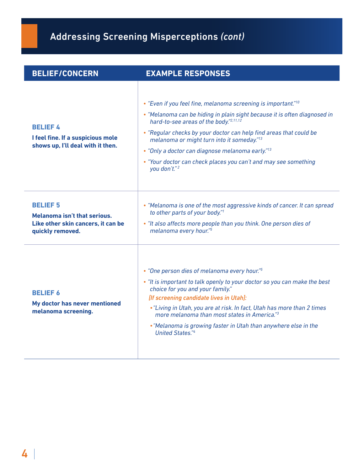# Addressing Screening Misperceptions *(cont)*

| <b>BELIEF/CONCERN</b>                                                                                            | <b>EXAMPLE RESPONSES</b>                                                                                                                                                                                                                                                                                                                                                                                                                                                            |
|------------------------------------------------------------------------------------------------------------------|-------------------------------------------------------------------------------------------------------------------------------------------------------------------------------------------------------------------------------------------------------------------------------------------------------------------------------------------------------------------------------------------------------------------------------------------------------------------------------------|
| <b>BELIEF 4</b><br>I feel fine. If a suspicious mole<br>shows up, I'll deal with it then.                        | • "Even if you feel fine, melanoma screening is important." <sup>10</sup><br>• "Melanoma can be hiding in plain sight because it is often diagnosed in<br>hard-to-see areas of the body."2,11,12<br>• "Regular checks by your doctor can help find areas that could be<br>melanoma or might turn into it someday."13<br>• "Only a doctor can diagnose melanoma early." <sup>13</sup><br>• "Your doctor can check places you can't and may see something<br>you don't." <sup>2</sup> |
| <b>BELIEF 5</b><br><b>Melanoma isn't that serious.</b><br>Like other skin cancers, it can be<br>quickly removed. | • "Melanoma is one of the most aggressive kinds of cancer. It can spread<br>to other parts of your body."1<br>• "It also affects more people than you think. One person dies of<br>melanoma every hour."5                                                                                                                                                                                                                                                                           |
| <b>BELIEF 6</b><br>My doctor has never mentioned<br>melanoma screening.                                          | • "One person dies of melanoma every hour."5<br>. "It is important to talk openly to your doctor so you can make the best<br>choice for you and your family."<br>[If screening candidate lives in Utah]:<br>• "Living in Utah, you are at risk. In fact, Utah has more than 2 times<br>more melanoma than most states in America."3<br>. "Melanoma is growing faster in Utah than anywhere else in the<br><b>United States."4</b>                                                   |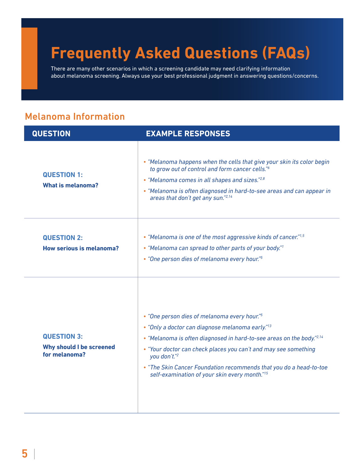# **Frequently Asked Questions (FAQs)**

There are many other scenarios in which a screening candidate may need clarifying information about melanoma screening. Always use your best professional judgment in answering questions/concerns.

### Melanoma Information

| <b>QUESTION</b>                                                 | <b>EXAMPLE RESPONSES</b>                                                                                                                                                                                                                                                                                                                                                                                    |
|-----------------------------------------------------------------|-------------------------------------------------------------------------------------------------------------------------------------------------------------------------------------------------------------------------------------------------------------------------------------------------------------------------------------------------------------------------------------------------------------|
| <b>QUESTION 1:</b><br><b>What is melanoma?</b>                  | • "Melanoma happens when the cells that give your skin its color begin<br>to grow out of control and form cancer cells."6<br>• "Melanoma comes in all shapes and sizes."2,8<br>• "Melanoma is often diagnosed in hard-to-see areas and can appear in<br>areas that don't get any sun."2,14                                                                                                                  |
| <b>QUESTION 2:</b><br>How serious is melanoma?                  | • "Melanoma is one of the most aggressive kinds of cancer." $1,5$<br>• "Melanoma can spread to other parts of your body." <sup>1</sup><br>• "One person dies of melanoma every hour."5                                                                                                                                                                                                                      |
| <b>QUESTION 3:</b><br>Why should I be screened<br>for melanoma? | • "One person dies of melanoma every hour." <sup>5</sup><br>• "Only a doctor can diagnose melanoma early." <sup>13</sup><br>• "Melanoma is often diagnosed in hard-to-see areas on the body."2,14<br>• "Your doctor can check places you can't and may see something<br>you don't."2<br>• "The Skin Cancer Foundation recommends that you do a head-to-toe<br>self-examination of your skin every month."15 |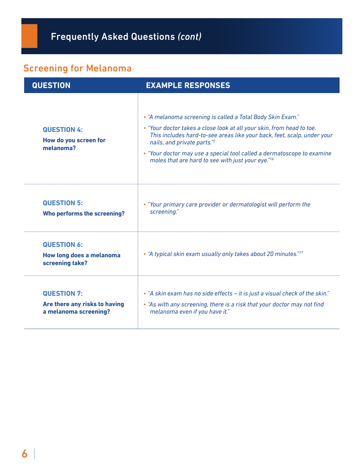## Screening for Melanoma

| <b>QUESTION</b>                                                              | <b>EXAMPLE RESPONSES</b>                                                                                                                                                                                                                                                                                                                                                                 |
|------------------------------------------------------------------------------|------------------------------------------------------------------------------------------------------------------------------------------------------------------------------------------------------------------------------------------------------------------------------------------------------------------------------------------------------------------------------------------|
| <b>QUESTION 4:</b><br>How do you screen for<br>melanoma?                     | • "A melanoma screening is called a Total Body Skin Exam."<br>• "Your doctor takes a close look at all your skin, from head to toe.<br>This includes hard-to-see areas like your back, feet, scalp, under your<br>nails, and private parts."2<br>• "Your doctor may use a special tool called a dermatoscope to examine<br>moles that are hard to see with just your eye." <sup>16</sup> |
| <b>QUESTION 5:</b><br>Who performs the screening?                            | • "Your primary care provider or dermatologist will perform the<br>screening."                                                                                                                                                                                                                                                                                                           |
| <b>QUESTION 6:</b><br>How long does a melanoma<br>screening take?            | • "A typical skin exam usually only takes about 20 minutes." <sup>17</sup>                                                                                                                                                                                                                                                                                                               |
| <b>QUESTION 7:</b><br>Are there any risks to having<br>a melanoma screening? | • "A skin exam has no side effects - it is just a visual check of the skin."<br>• "As with any screening, there is a risk that your doctor may not find<br>melanoma even if you have it."                                                                                                                                                                                                |